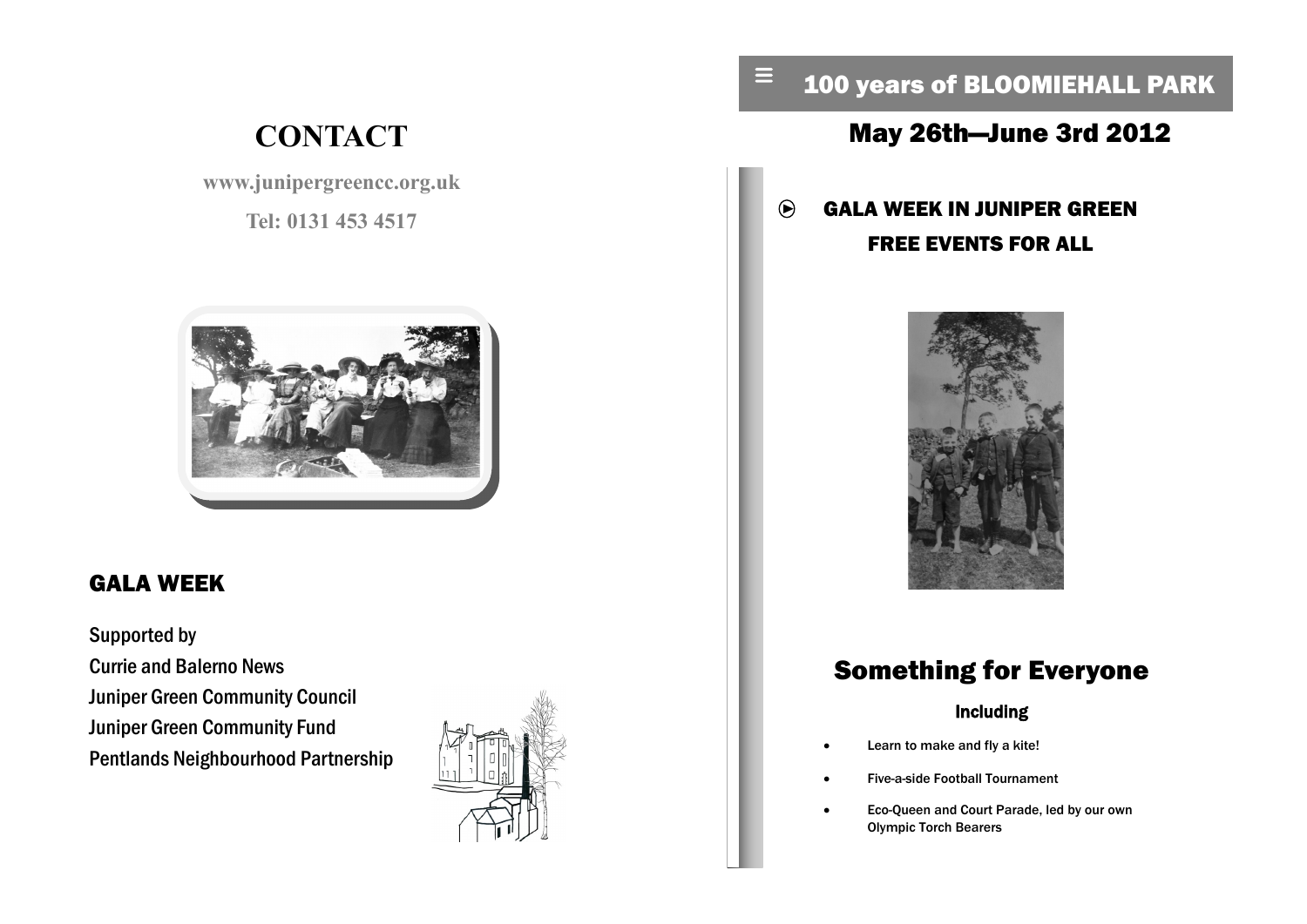# **CONTACT**

**www.junipergreencc.org.uk**

**Tel: 0131 453 4517**



### GALA WEEK

Supported by Currie and Balerno News Juniper Green Community Council Juniper Green Community Fund Pentlands Neighbourhood Partnership



### 100 years of BLOOMIEHALL PARK

### May 26th—June 3rd 2012

#### GALA WEEK IN JUNIPER GREEN  $\bigcirc$ FREE EVENTS FOR ALL

 $\equiv$ 



## Something for Everyone

#### Including

- Learn to make and fly a kite!
- Five-a-side Football Tournament
- Eco-Queen and Court Parade, led by our own Olympic Torch Bearers